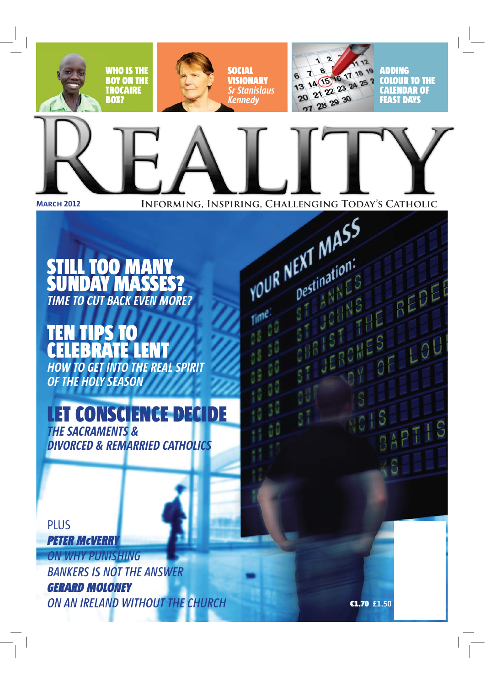

### 'ill too many **DAY MASSES? TIME TO CUT BACK EVEN MORE?**

# Ħт

**HOW TO GET INTO THE REAL SPIRIT** OF THE HOLY SEASON

## **LET CONSCIENCE DECIDE**

**THE SACRAMENTS & DIVORCED & REMARRIED CATHOLICS** 

**PLUS PETER MCVERRY** 

**ON WHY PUNISHING BANKERS IS NOT THE ANSWER GERARD MOLONEY** ON AN IRELAND WITHOUT THE CHURCH

€1.70 £1.50

T ANNES

OHNS

OM

HE REDE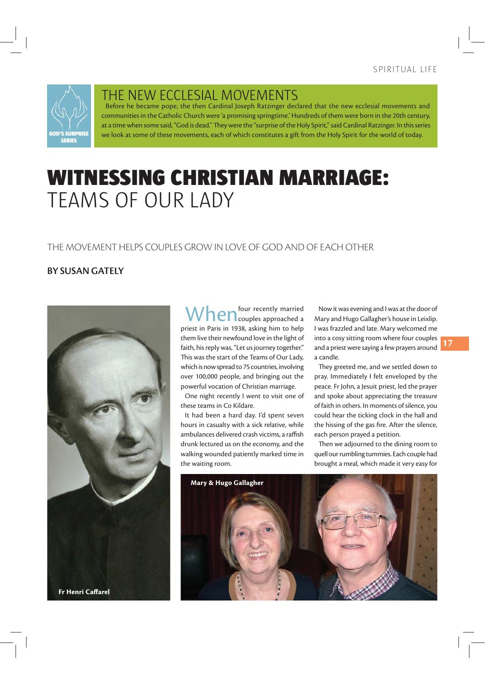

THE NEW ECCLESIAL MOVEMENTS

Before he became pope, the then Cardinal Joseph Ratzinger declared that the new ecclesial movements and communities in the Catholic Church were 'a promising springtime.' Hundreds of them were born in the 20th century, at a time when some said, "God is dead." They were the "surprise of the Holy Spirit," said Cardinal Ratzinger. In this series we look at some of these movements, each of which constitutes a gift from the Holy Spirit for the world of today.

## **WITNESSING CHRISTIAN MARRIAGE:** TFAMS OF OUR LADY

#### THE MOVEMENT HELPS COUPLES GROW IN LOVE OF GOD AND OF EACH OTHER

#### **BY SUSAN GATELY**



four recently married  $\sum$   $\bigcap$  couples approached a priest in Paris in 1938, asking him to help them live their newfound love in the light of faith, his reply was, "Let us journey together." This was the start of the Teams of Our Lady, which is now spread to 75 countries, involving over 100,000 people, and bringing out the powerful vocation of Christian marriage.

One night recently I went to visit one of these teams in Co Kildare.

It had been a hard day. I'd spent seven hours in casualty with a sick relative, while ambulances delivered crash victims, a raffish drunk lectured us on the economy, and the walking wounded patiently marked time in the waiting room.

Now it was evening and I was at the door of Mary and Hugo Gallagher's house in Leixlip. I was frazzled and late. Mary welcomed me into a cosy sitting room where four couples and a priest were saying a few prayers around a candle.

They greeted me, and we settled down to pray. Immediately I felt enveloped by the peace. Fr John, a Jesuit priest, led the prayer and spoke about appreciating the treasure of faith in others. In moments of silence, you could hear the ticking clock in the hall and the hissing of the gas fire. After the silence, each person prayed a petition.

Then we adjourned to the dining room to quell our rumbling tummies. Each couple had brought a meal, which made it very easy for

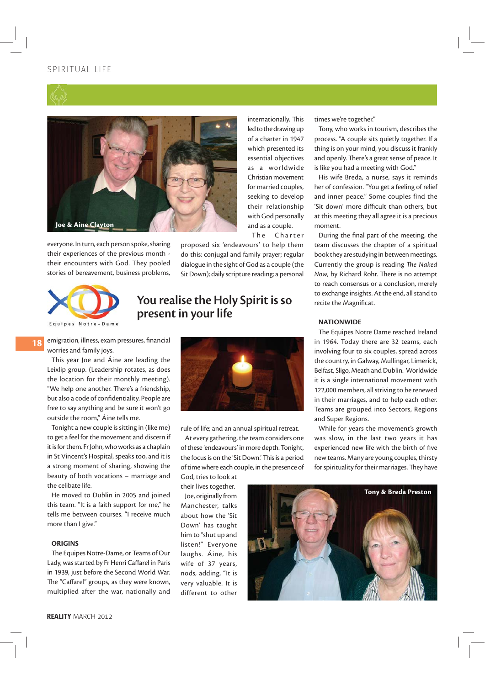#### SPIRITIIAL LIFF





everyone. In turn, each person spoke, sharing their experiences of the previous month their encounters with God. They pooled stories of bereavement, business problems,

The Charter proposed six 'endeavours' to help them do this: conjugal and family prayer; regular dialogue in the sight of God as a couple (the Sit Down); daily scripture reading; a personal

internationally. This

led to the drawing up

of a charter in 1947

which presented its essential objectives

as a worldwide

Christian movement

for married couples, seeking to develop

their relationship

with God personally

and as a couple.



18

#### You realise the Holy Spirit is so present in your life

emigration, illness, exam pressures, financial worries and family joys.

This year Joe and Áine are leading the Leixlip group. (Leadership rotates, as does the location for their monthly meeting). "We help one another. There's a friendship. but also a code of confidentiality. People are free to say anything and be sure it won't go outside the room," Aine tells me.

Tonight a new couple is sitting in (like me) to get a feel for the movement and discern if it is for them. Fr John, who works as a chaplain in St Vincent's Hospital, speaks too, and it is a strong moment of sharing, showing the beauty of both vocations - marriage and the celibate life.

He moved to Dublin in 2005 and joined this team. "It is a faith support for me." he tells me between courses. "I receive much more than I give."

#### **ORIGINS**

The Equipes Notre-Dame, or Teams of Our Lady, was started by Fr Henri Caffarel in Paris in 1939, just before the Second World War. The "Caffarel" groups, as they were known, multiplied after the war, nationally and



rule of life; and an annual spiritual retreat.

At every gathering, the team considers one of these 'endeavours' in more depth. Tonight, the focus is on the 'Sit Down.' This is a period of time where each couple, in the presence of God, tries to look at

their lives together. loe, originally from Manchester, talks about how the 'Sit Down' has taught him to "shut up and listen!" Everyone laughs. Áine, his wife of 37 years, nods, adding, "It is very valuable. It is different to other

Tony & Breda Preston

times we're together."

Tony, who works in tourism, describes the process. "A couple sits quietly together. If a thing is on your mind, you discuss it frankly and openly. There's a great sense of peace. It is like you had a meeting with God."

His wife Breda, a nurse, says it reminds her of confession. "You get a feeling of relief and inner peace." Some couples find the 'Sit down' more difficult than others, but at this meeting they all agree it is a precious moment.

During the final part of the meeting, the team discusses the chapter of a spiritual book they are studying in between meetings. Currently the group is reading The Naked Now, by Richard Rohr. There is no attempt to reach consensus or a conclusion, merely to exchange insights. At the end, all stand to recite the Magnificat.

#### **NATIONWIDE**

The Equipes Notre Dame reached Ireland in 1964. Today there are 32 teams, each involving four to six couples, spread across the country, in Galway, Mullingar, Limerick, Belfast, Sligo, Meath and Dublin. Worldwide it is a single international movement with 122,000 members, all striving to be renewed in their marriages, and to help each other. Teams are grouped into Sectors, Regions and Super Regions.

While for years the movement's growth was slow, in the last two years it has experienced new life with the birth of five new teams. Many are young couples, thirsty for spirituality for their marriages. They have